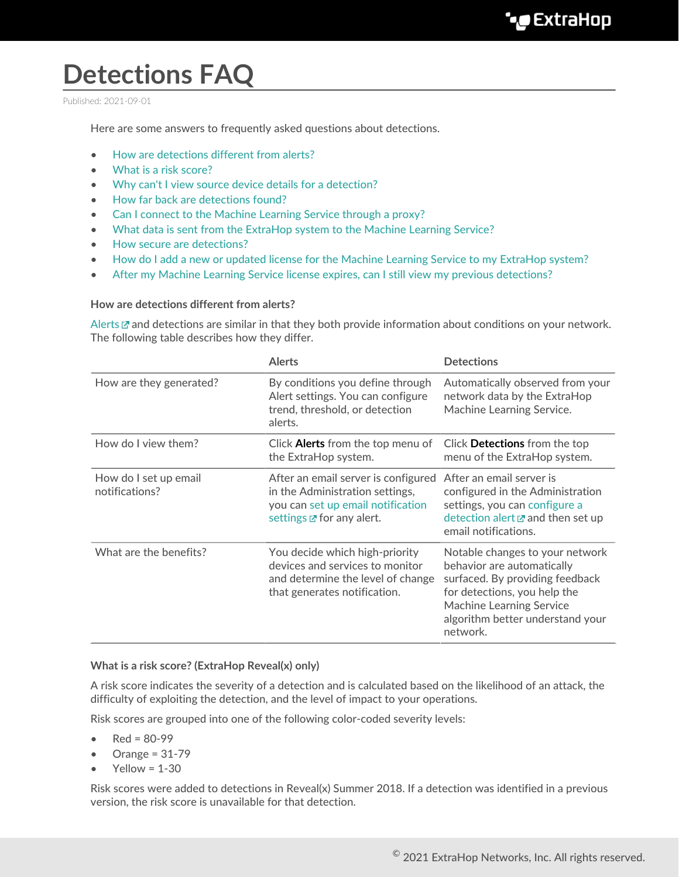# **Detections FAQ**

Published: 2021-09-01

Here are some answers to frequently asked questions about detections.

- [How are detections different from alerts?](#page-0-0)
- [What is a risk score?](#page-0-1)
- [Why can't I view source device details for a detection?](#page-1-0)
- [How far back are detections found?](#page-1-1)
- [Can I connect to the Machine Learning Service through a proxy?](#page-1-2)
- [What data is sent from the ExtraHop system to the Machine Learning Service?](#page-1-3)
- [How secure are detections?](#page-1-4)
- [How do I add a new or updated license for the Machine Learning Service to my ExtraHop system?](#page-1-5)
- <span id="page-0-0"></span>[After my Machine Learning Service license expires, can I still view my previous detections?](#page-1-6)

#### **How are detections different from alerts?**

[Alerts](https://docs.extrahop.com/8.3/alerts/#alerts)  $\mathbb Z$  and detections are similar in that they both provide information about conditions on your network. The following table describes how they differ.

|                                         | <b>Alerts</b>                                                                                                                                          | <b>Detections</b>                                                                                                                                                                                                   |
|-----------------------------------------|--------------------------------------------------------------------------------------------------------------------------------------------------------|---------------------------------------------------------------------------------------------------------------------------------------------------------------------------------------------------------------------|
| How are they generated?                 | By conditions you define through<br>Alert settings. You can configure<br>trend, threshold, or detection<br>alerts.                                     | Automatically observed from your<br>network data by the ExtraHop<br>Machine Learning Service.                                                                                                                       |
| How do I view them?                     | Click Alerts from the top menu of<br>the ExtraHop system.                                                                                              | Click Detections from the top<br>menu of the ExtraHop system.                                                                                                                                                       |
| How do I set up email<br>notifications? | After an email server is configured<br>in the Administration settings,<br>you can set up email notification<br>settings <b><i>M</i></b> for any alert. | After an email server is<br>configured in the Administration<br>settings, you can configure a<br>detection alert $\mathbb Z$ and then set up<br>email notifications.                                                |
| What are the benefits?                  | You decide which high-priority<br>devices and services to monitor<br>and determine the level of change<br>that generates notification.                 | Notable changes to your network<br>behavior are automatically<br>surfaced. By providing feedback<br>for detections, you help the<br><b>Machine Learning Service</b><br>algorithm better understand your<br>network. |

#### <span id="page-0-1"></span>**What is a risk score? (ExtraHop Reveal(x) only)**

A risk score indicates the severity of a detection and is calculated based on the likelihood of an attack, the difficulty of exploiting the detection, and the level of impact to your operations.

Risk scores are grouped into one of the following color-coded severity levels:

- $Red = 80-99$
- Orange = 31-79
- $Yellow = 1-30$

Risk scores were added to detections in Reveal(x) Summer 2018. If a detection was identified in a previous version, the risk score is unavailable for that detection.